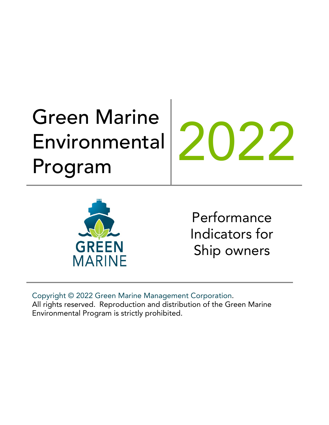# Green Marine Environmental Environmental 2022<br>Program



Performance Indicators for Ship owners

Copyright © 2022 Green Marine Management Corporation. All rights reserved. Reproduction and distribution of the Green Marine Environmental Program is strictly prohibited.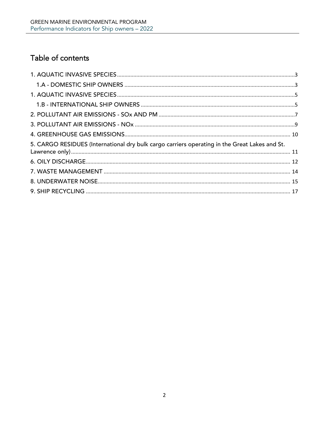# Table of contents

| 5. CARGO RESIDUES (International dry bulk cargo carriers operating in the Great Lakes and St. |  |
|-----------------------------------------------------------------------------------------------|--|
|                                                                                               |  |
|                                                                                               |  |
|                                                                                               |  |
|                                                                                               |  |
|                                                                                               |  |
|                                                                                               |  |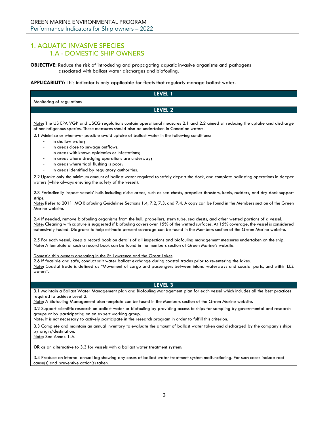# <span id="page-2-1"></span><span id="page-2-0"></span>1. AQUATIC INVASIVE SPECIES 1.A - DOMESTIC SHIP OWNERS

**OBJECTIVE:** Reduce the risk of introducing and propagating aquatic invasive organisms and pathogens associated with ballast water discharges and biofouling.

**APPLICABILITY:** This indicator is only applicable for fleets that regularly manage ballast water.

| LEVEL 1                                                                                                                                                                                                                                                                                                                                                                                                             |
|---------------------------------------------------------------------------------------------------------------------------------------------------------------------------------------------------------------------------------------------------------------------------------------------------------------------------------------------------------------------------------------------------------------------|
| Monitoring of regulations                                                                                                                                                                                                                                                                                                                                                                                           |
| LEVEL 2                                                                                                                                                                                                                                                                                                                                                                                                             |
|                                                                                                                                                                                                                                                                                                                                                                                                                     |
| Note: The US EPA VGP and USCG regulations contain operational measures 2.1 and 2.2 aimed at reducing the uptake and discharge<br>of nonindigenous species. These measures should also be undertaken in Canadian waters.                                                                                                                                                                                             |
| 2.1 Minimize or whenever possible avoid uptake of ballast water in the following conditions:<br>In shallow water;                                                                                                                                                                                                                                                                                                   |
| In areas close to sewage outflows;<br>$\overline{\phantom{a}}$                                                                                                                                                                                                                                                                                                                                                      |
| In areas with known epidemics or infestations;<br>$\overline{\phantom{a}}$                                                                                                                                                                                                                                                                                                                                          |
| In areas where dredging operations are underway;<br>$\overline{\phantom{a}}$                                                                                                                                                                                                                                                                                                                                        |
| In areas where tidal flushing is poor;<br>$\overline{\phantom{m}}$<br>In areas identified by regulatory authorities.<br>$\overline{\phantom{m}}$                                                                                                                                                                                                                                                                    |
|                                                                                                                                                                                                                                                                                                                                                                                                                     |
| 2.2 Uptake only the minimum amount of ballast water required to safely depart the dock, and complete ballasting operations in deeper<br>waters (while always ensuring the safety of the vessel).                                                                                                                                                                                                                    |
| 2.3 Periodically inspect vessels' hulls including niche areas, such as sea chests, propeller thrusters, keels, rudders, and dry dock support<br>strips.                                                                                                                                                                                                                                                             |
| Note: Refer to 2011 IMO Biofouling Guidelines Sections 1.4, 7.2, 7.3, and 7.4. A copy can be found in the Members section of the Green<br>Marine website.                                                                                                                                                                                                                                                           |
| 2.4 If needed, remove biofouling organisms from the hull, propellers, stern tube, sea chests, and other wetted portions of a vessel.<br>Note: Cleaning with capture is suggested if biofouling covers over 15% of the wetted surfaces. At 15% coverage, the vessel is considered<br>extensively fouled. Diagrams to help estimate percent coverage can be found in the Members section of the Green Marine website. |
| 2.5 For each vessel, keep a record book on details of all inspections and biofouling management measures undertaken on the ship.<br>Note: A template of such a record book can be found in the members section of Green Marine's website.                                                                                                                                                                           |
| Domestic ship owners operating in the St. Lawrence and the Great Lakes:<br>2.6 If feasible and safe, conduct salt water ballast exchange during coastal trades prior to re-entering the lakes.<br>Note: Coastal trade is defined as "Movement of cargo and passengers between inland waterways and coastal ports, and within EEZ<br>waters".                                                                        |
|                                                                                                                                                                                                                                                                                                                                                                                                                     |
| LEVEL 3                                                                                                                                                                                                                                                                                                                                                                                                             |
| 3.1 Maintain a Ballast Water Management plan and Biofouling Management plan for each vessel which includes all the best practices<br>required to achieve Level 2.<br>Note: A Biofouling Management plan template can be found in the Members section of the Green Marine website.                                                                                                                                   |
| 3.2 Support scientific research on ballast water or biofouling by providing access to ships for sampling by governmental and research                                                                                                                                                                                                                                                                               |
| groups or by participating on an expert working group.<br>Note: It is not necessary to actively participate in the research program in order to fulfill this criterion.                                                                                                                                                                                                                                             |
| 3.3 Complete and maintain an annual inventory to evaluate the amount of ballast water taken and discharged by the company's ships                                                                                                                                                                                                                                                                                   |
| by origin/destination.<br>Note: See Annex 1-A.                                                                                                                                                                                                                                                                                                                                                                      |
| OR as an alternative to 3.3 for vessels with a ballast water treatment system:                                                                                                                                                                                                                                                                                                                                      |
| 3.4 Produce an internal annual log showing any cases of ballast water treatment system malfunctioning. For such cases include root<br>cause(s) and preventive action(s) taken.                                                                                                                                                                                                                                      |
|                                                                                                                                                                                                                                                                                                                                                                                                                     |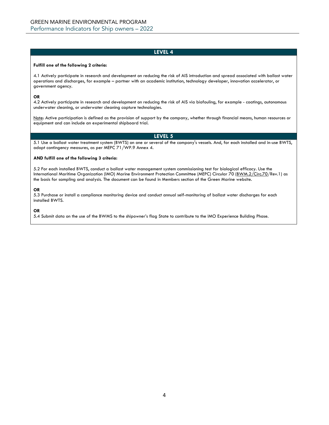#### **Fulfill one of the following 2 criteria:**

4.1 Actively participate in research and development on reducing the risk of AIS introduction and spread associated with ballast water operations and discharges, for example – partner with an academic institution, technology developer, innovation accelerator, or government agency.

#### **OR**

4.2 Actively participate in research and development on reducing the risk of AIS via biofouling, for example - coatings, autonomous underwater cleaning, or underwater cleaning capture technologies.

Note: Active participation is defined as the provision of support by the company, whether through financial means, human resources or equipment and can include an experimental shipboard trial.

## **LEVEL 5**

5.1 Use a ballast water treatment system (BWTS) on one or several of the company's vessels. And, for each installed and in-use BWTS, adopt contingency measures, as per MEPC 71/WP.9 Annex 4.

#### **AND fulfill one of the following 3 criteria:**

5.2 For each installed BWTS, conduct a ballast water management system commissioning test for biological efficacy. Use the International Maritime Organization (IMO) Marine Environment Protection Committee (MEPC) Circular 70 [\(BWM.2/Circ.70/](https://www.crclass.org/chinese/download/ti-tc/100/2-6%20BWM.2-Circ.70%20-%20Guidance%20for%20the%20commissioning%20testing%20of%20ballast%20water%20management%20systems%20%28Secretariat%29.pdf)Rev.1) as the basis for sampling and analysis. The document can be found in Members section of the Green Marine website.

#### **OR**

5.3 Purchase or install a compliance monitoring device and conduct annual self-monitoring of ballast water discharges for each installed BWTS.

#### **OR**

5.4 Submit data on the use of the BWMS to the shipowner's flag State to contribute to the IMO Experience Building Phase.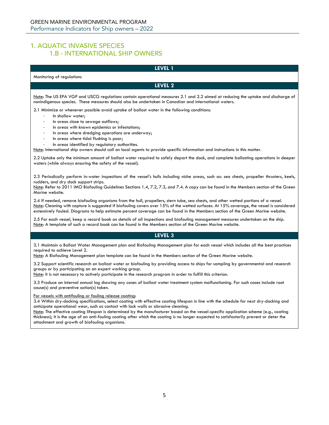# <span id="page-4-1"></span><span id="page-4-0"></span>1. AQUATIC INVASIVE SPECIES 1.B - INTERNATIONAL SHIP OWNERS

# **LEVEL 1** Monitoring of regulations **LEVEL 2** Note: The US EPA VGP and USCG regulations contain operational measures 2.1 and 2.2 aimed at reducing the uptake and discharge of nonindigenous species. These measures should also be undertaken in Canadian and international waters. 2.1 Minimize or whenever possible avoid uptake of ballast water in the following conditions: In shallow water; In areas close to sewage outflows; In areas with known epidemics or infestations; In areas where dredging operations are underway; In areas where tidal flushing is poor; In areas identified by regulatory authorities. Note: International ship owners should call on local agents to provide specific information and instructions in this matter. 2.2 Uptake only the minimum amount of ballast water required to safely depart the dock, and complete ballasting operations in deeper waters (while always ensuring the safety of the vessel). 2.3 Periodically perform in-water inspections of the vessel's hulls including niche areas, such as: sea chests, propeller thrusters, keels, rudders, and dry dock support strips. Note: Refer to 2011 IMO Biofouling Guidelines Sections 1.4, 7.2, 7.3, and 7.4. A copy can be found in the Members section of the Green Marine website. 2.4 If needed, remove biofouling organisms from the hull, propellers, stern tube, sea chests, and other wetted portions of a vessel. Note: Cleaning with capture is suggested if biofouling covers over 15% of the wetted surfaces. At 15% coverage, the vessel is considered extensively fouled. Diagrams to help estimate percent coverage can be found in the Members section of the Green Marine website. 2.5 For each vessel, keep a record book on details of all inspections and biofouling management measures undertaken on the ship. Note: A template of such a record book can be found in the Members section of the Green Marine website. **LEVEL 3** 3.1 Maintain a Ballast Water Management plan and Biofouling Management plan for each vessel which includes all the best practices required to achieve Level 2. Note: A Biofouling Management plan template can be found in the Members section of the Green Marine website. 3.2 Support scientific research on ballast water or biofouling by providing access to ships for sampling by governmental and research groups or by participating on an expert working group. Note: It is not necessary to actively participate in the research program in order to fulfill this criterion. 3.3 Produce an internal annual log showing any cases of ballast water treatment system malfunctioning. For such cases include root cause(s) and preventive action(s) taken. For vessels with antifouling or fouling release coating: 3.4 Within dry-docking specifications, select coating with effective coating lifespan in line with the schedule for next dry-docking and anticipate operational wear, such as contact with lock walls or abrasive cleaning. Note: The effective coating lifespan is determined by the manufacturer based on the vessel-specific application scheme (e.g., coating thickness); it is the age of an anti-fouling coating after which the coating is no longer expected to satisfactorily prevent or deter the attachment and growth of biofouling organisms.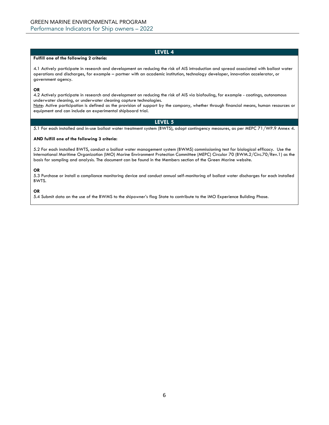#### **Fulfill one of the following 2 criteria:**

4.1 Actively participate in research and development on reducing the risk of AIS introduction and spread associated with ballast water operations and discharges, for example – partner with an academic institution, technology developer, innovation accelerator, or government agency.

#### **OR**

4.2 Actively participate in research and development on reducing the risk of AIS via biofouling, for example - coatings, autonomous underwater cleaning, or underwater cleaning capture technologies.

Note: Active participation is defined as the provision of support by the company, whether through financial means, human resources or equipment and can include an experimental shipboard trial.

## **LEVEL 5**

5.1 For each installed and in-use ballast water treatment system (BWTS), adopt contingency measures, as per MEPC 71/WP.9 Annex 4.

#### **AND fulfill one of the following 3 criteria:**

5.2 For each installed BWTS, conduct a ballast water management system (BWMS) commissioning test for biological efficacy. Use the International Maritime Organization (IMO) Marine Environment Protection Committee (MEPC) Circular 70 (BWM.2/Circ.70/Rev.1) as the basis for sampling and analysis. The document can be found in the Members section of the Green Marine website.

## **OR**

5.3 Purchase or install a compliance monitoring device and conduct annual self-monitoring of ballast water discharges for each installed BWTS.

#### **OR**

5.4 Submit data on the use of the BWMS to the shipowner's flag State to contribute to the IMO Experience Building Phase.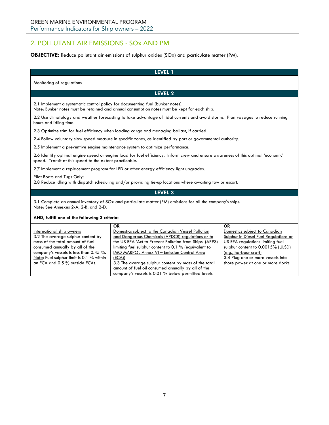# <span id="page-6-0"></span>2. POLLUTANT AIR EMISSIONS - SOx AND PM

## **OBJECTIVE:** Reduce pollutant air emissions of sulphur oxides (SOx) and particulate matter (PM).

|                                                                                                                                                                                                                                                                | LEVEL 1                                                                                                                                                                                                                                                                                                                                                                                                                                                                |                                                                                                                                                                                                                                                                 |  |  |
|----------------------------------------------------------------------------------------------------------------------------------------------------------------------------------------------------------------------------------------------------------------|------------------------------------------------------------------------------------------------------------------------------------------------------------------------------------------------------------------------------------------------------------------------------------------------------------------------------------------------------------------------------------------------------------------------------------------------------------------------|-----------------------------------------------------------------------------------------------------------------------------------------------------------------------------------------------------------------------------------------------------------------|--|--|
| Monitoring of regulations                                                                                                                                                                                                                                      |                                                                                                                                                                                                                                                                                                                                                                                                                                                                        |                                                                                                                                                                                                                                                                 |  |  |
|                                                                                                                                                                                                                                                                | LEVEL 2                                                                                                                                                                                                                                                                                                                                                                                                                                                                |                                                                                                                                                                                                                                                                 |  |  |
|                                                                                                                                                                                                                                                                | 2.1 Implement a systematic control policy for documenting fuel (bunker notes).<br>Note: Bunker notes must be retained and annual consumption notes must be kept for each ship.                                                                                                                                                                                                                                                                                         |                                                                                                                                                                                                                                                                 |  |  |
| hours and idling time.                                                                                                                                                                                                                                         | 2.2 Use climatology and weather forecasting to take advantage of tidal currents and avoid storms. Plan voyages to reduce running                                                                                                                                                                                                                                                                                                                                       |                                                                                                                                                                                                                                                                 |  |  |
|                                                                                                                                                                                                                                                                | 2.3 Optimize trim for fuel efficiency when loading cargo and managing ballast, if carried.                                                                                                                                                                                                                                                                                                                                                                             |                                                                                                                                                                                                                                                                 |  |  |
|                                                                                                                                                                                                                                                                | 2.4 Follow voluntary slow speed measure in specific zones, as identified by port or governmental authority.                                                                                                                                                                                                                                                                                                                                                            |                                                                                                                                                                                                                                                                 |  |  |
|                                                                                                                                                                                                                                                                | 2.5 Implement a preventive engine maintenance system to optimize performance.                                                                                                                                                                                                                                                                                                                                                                                          |                                                                                                                                                                                                                                                                 |  |  |
| 2.6 Identify optimal engine speed or engine load for fuel efficiency. Inform crew and ensure awareness of this optimal 'economic'<br>speed. Transit at this speed to the extent practicable.                                                                   |                                                                                                                                                                                                                                                                                                                                                                                                                                                                        |                                                                                                                                                                                                                                                                 |  |  |
|                                                                                                                                                                                                                                                                | 2.7 Implement a replacement program for LED or other energy efficiency light upgrades.                                                                                                                                                                                                                                                                                                                                                                                 |                                                                                                                                                                                                                                                                 |  |  |
| Pilot Boats and Tugs Only:<br>2.8 Reduce idling with dispatch scheduling and/or providing tie-up locations where awaiting tow or escort.                                                                                                                       |                                                                                                                                                                                                                                                                                                                                                                                                                                                                        |                                                                                                                                                                                                                                                                 |  |  |
|                                                                                                                                                                                                                                                                | LEVEL 3                                                                                                                                                                                                                                                                                                                                                                                                                                                                |                                                                                                                                                                                                                                                                 |  |  |
| 3.1 Complete an annual inventory of SOx and particulate matter (PM) emissions for all the company's ships.<br>Note: See Annexes 2-A, 2-B, and 2-D.                                                                                                             |                                                                                                                                                                                                                                                                                                                                                                                                                                                                        |                                                                                                                                                                                                                                                                 |  |  |
| AND, fulfill one of the following 3 criteria:                                                                                                                                                                                                                  |                                                                                                                                                                                                                                                                                                                                                                                                                                                                        |                                                                                                                                                                                                                                                                 |  |  |
| International ship owners<br>3.2 The average sulphur content by<br>mass of the total amount of fuel<br>consumed annually by all of the<br>company's vessels is less than 0.45 %.<br>Note: Fuel sulphur limit is 0.1 % within<br>an ECA and 0.5 % outside ECAs. | OR<br>Domestics subject to the Canadian Vessel Pollution<br>and Dangerous Chemicals (VPDCR) regulations or to<br>the US EPA 'Act to Prevent Pollution from Ships' (APPS)<br>limiting fuel sulphur content to 0.1 % (equivalent to<br><b>IMO MARPOL Annex VI - Emission Control Area</b><br>(ECA))<br>3.3 The average sulphur content by mass of the total<br>amount of fuel oil consumed annually by all of the<br>company's vessels is 0.01 % below permitted levels. | <b>OR</b><br>Domestics subject to Canadian<br>Sulphur in Diesel Fuel Regulations or<br>US EPA regulations limiting fuel<br>sulphur content to 0.0015% (ULSD)<br>(e.g., harbour craft)<br>3.4 Plug one or more vessels into<br>shore power at one or more docks. |  |  |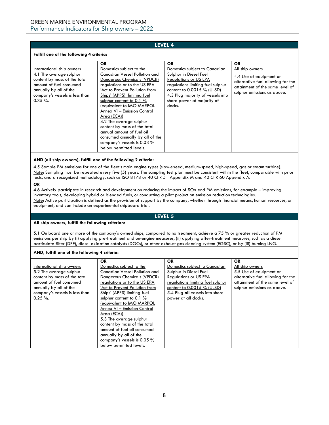#### **Fulfill one of the following 4 criteria:**

| International ship owners<br>4.1 The average sulphur<br>content by mass of the total<br>amount of fuel consumed<br>annually by all of the<br>company's vessels is less than<br>$0.35 \%$ . | <b>OR</b><br>Domestics subject to the<br>Canadian Vessel Pollution and<br>Dangerous Chemicals (VPDCR)<br>regulations or to the US EPA<br>'Act to Prevent Pollution from<br>Ships' (APPS) limiting fuel<br>sulphur content to 0.1 $%$<br>(equivalent to IMO MARPOL<br>Annex VI - Emission Control<br>Area (ECA))<br>4.2 The average sulphur<br>content by mass of the total<br>annual amount of fuel oil<br>consumed annually by all of the | <b>OR</b><br>Domestics subject to Canadian<br>Sulphur in Diesel Fuel<br><b>Regulations or US EPA</b><br>regulations limiting fuel sulphur<br>content to $0.0015 \%$ (ULSD)<br>4.3 Plug majority of vessels into<br>shore power at majority of<br>docks. | <b>OR</b><br>All ship owners<br>4.4 Use of equipment or<br>alternative fuel allowing for the<br>attainment of the same level of<br>sulphur emissions as above. |
|--------------------------------------------------------------------------------------------------------------------------------------------------------------------------------------------|--------------------------------------------------------------------------------------------------------------------------------------------------------------------------------------------------------------------------------------------------------------------------------------------------------------------------------------------------------------------------------------------------------------------------------------------|---------------------------------------------------------------------------------------------------------------------------------------------------------------------------------------------------------------------------------------------------------|----------------------------------------------------------------------------------------------------------------------------------------------------------------|
|                                                                                                                                                                                            | company's vessels is 0.03 %<br>below permitted levels.                                                                                                                                                                                                                                                                                                                                                                                     |                                                                                                                                                                                                                                                         |                                                                                                                                                                |

#### **AND (all ship owners), fulfill one of the following 2 criteria:**

4.5 Sample PM emissions for one of the fleet's main engine types (slow-speed, medium-speed, high-speed, gas or steam turbine). Note: Sampling must be repeated every five (5) years. The sampling test plan must be consistent within the fleet, comparable with prior tests, and a recognized methodology, such as ISO 8178 or 40 CFR 51 Appendix M and 40 CFR 60 Appendix A.

## **OR**

4.6 Actively participate in research and development on reducing the impact of SOx and PM emissions, for example – improving inventory tools, developing hybrid or blended fuels, or conducting a pilot project on emission reduction technologies. Note: Active participation is defined as the provision of support by the company, whether through financial means, human resources, or equipment, and can include an experimental shipboard trial.

## **LEVEL 5**

#### **All ship owners, fulfill the following criterion:**

5.1 On board one or more of the company's owned ships, compared to no treatment, achieve a 75 % or greater reduction of PM emissions per ship by (i) applying pre-treatment and on-engine measures, (ii) applying after-treatment measures, such as a diesel particulate filter (DPF), diesel oxidation catalysts (DOCs), or other exhaust gas cleaning system (EGSC), or by (iii) burning LNG.

## **AND, fulfill one of the following 4 criteria:**

|                                | <b>OR</b>                      | <b>OR</b>                         | <b>OR</b>                         |
|--------------------------------|--------------------------------|-----------------------------------|-----------------------------------|
| International ship owners      | Domestics subject to the       | Domestics subject to Canadian     | All ship owners                   |
| 5.2 The average sulphur        | Canadian Vessel Pollution and  | Sulphur in Diesel Fuel            | 5.5 Use of equipment or           |
| content by mass of the total   | Dangerous Chemicals (VPDCR)    | <b>Regulations or US EPA</b>      | alternative fuel allowing for the |
| amount of fuel consumed        | regulations or to the US EPA   | regulations limiting fuel sulphur | attainment of the same level of   |
| annually by all of the         | 'Act to Prevent Pollution from | content to $0.0015 \%$ (ULSD)     | sulphur emissions as above.       |
| company's vessels is less than | Ships' (APPS) limiting fuel    | 5.4 Plug all vessels into shore   |                                   |
| $0.25 \%$ .                    | sulphur content to $0.1\%$     | power at all docks.               |                                   |
|                                | (equivalent to IMO MARPOL      |                                   |                                   |
|                                | Annex VI - Emission Control    |                                   |                                   |
|                                | Area (ECA))                    |                                   |                                   |
|                                | 5.3 The average sulphur        |                                   |                                   |
|                                | content by mass of the total   |                                   |                                   |
|                                | amount of fuel oil consumed    |                                   |                                   |
|                                | annually by all of the         |                                   |                                   |
|                                | company's vessels is 0.05 %    |                                   |                                   |
|                                | below permitted levels.        |                                   |                                   |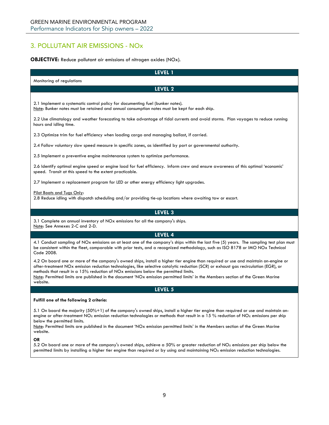# <span id="page-8-0"></span>3. POLLUTANT AIR EMISSIONS - NOx

## **OBJECTIVE:** Reduce pollutant air emissions of nitrogen oxides (NOx).

| LEVEL 1                                                                                                                                                                                                                                                                                                                                                                                                                                                                                                          |
|------------------------------------------------------------------------------------------------------------------------------------------------------------------------------------------------------------------------------------------------------------------------------------------------------------------------------------------------------------------------------------------------------------------------------------------------------------------------------------------------------------------|
| Monitoring of regulations                                                                                                                                                                                                                                                                                                                                                                                                                                                                                        |
| LEVEL 2                                                                                                                                                                                                                                                                                                                                                                                                                                                                                                          |
| 2.1 Implement a systematic control policy for documenting fuel (bunker notes).<br>Note: Bunker notes must be retained and annual consumption notes must be kept for each ship.                                                                                                                                                                                                                                                                                                                                   |
| 2.2 Use climatology and weather forecasting to take advantage of tidal currents and avoid storms. Plan voyages to reduce running<br>hours and idling time.                                                                                                                                                                                                                                                                                                                                                       |
| 2.3 Optimize trim for fuel efficiency when loading cargo and managing ballast, if carried.                                                                                                                                                                                                                                                                                                                                                                                                                       |
| 2.4 Follow voluntary slow speed measure in specific zones, as identified by port or governmental authority.                                                                                                                                                                                                                                                                                                                                                                                                      |
| 2.5 Implement a preventive engine maintenance system to optimize performance.                                                                                                                                                                                                                                                                                                                                                                                                                                    |
| 2.6 Identify optimal engine speed or engine load for fuel efficiency. Inform crew and ensure awareness of this optimal 'economic'<br>speed. Transit at this speed to the extent practicable.                                                                                                                                                                                                                                                                                                                     |
| 2.7 Implement a replacement program for LED or other energy efficiency light upgrades.                                                                                                                                                                                                                                                                                                                                                                                                                           |
| Pilot Boats and Tugs Only:<br>2.8 Reduce idling with dispatch scheduling and/or providing tie-up locations where awaiting tow or escort.                                                                                                                                                                                                                                                                                                                                                                         |
| LEVEL 3                                                                                                                                                                                                                                                                                                                                                                                                                                                                                                          |
| 3.1 Complete an annual inventory of NOx emissions for all the company's ships.<br>Note: See Annexes 2-C and 2-D.                                                                                                                                                                                                                                                                                                                                                                                                 |
| LEVEL 4                                                                                                                                                                                                                                                                                                                                                                                                                                                                                                          |
| 4.1 Conduct sampling of NOx emissions on at least one of the company's ships within the last five (5) years. The sampling test plan must<br>be consistent within the fleet, comparable with prior tests, and a recognized methodology, such as ISO 8178 or IMO NOx Technical<br>Code 2008.                                                                                                                                                                                                                       |
| 4.2 On board one or more of the company's owned ships, install a higher tier engine than required or use and maintain on-engine or<br>after-treatment NOx emission reduction technologies, like selective catalytic reduction (SCR) or exhaust gas recirculation (EGR), or<br>methods that result in a 15% reduction of NOx emissions below the permitted limits.<br>Note: Permitted limits are published in the document 'NOx emission permitted limits' in the Members section of the Green Marine<br>website. |
| LEVEL 5                                                                                                                                                                                                                                                                                                                                                                                                                                                                                                          |
| Fulfill one of the following 2 criteria:                                                                                                                                                                                                                                                                                                                                                                                                                                                                         |
| 5.1 On board the majority (50%+1) of the company's owned ships, install a higher tier engine than required or use and maintain on-<br>engine or after-treatment NO <sub>X</sub> emission reduction technologies or methods that result in a 15 % reduction of NO <sub>X</sub> emissions per ship<br>below the permitted limits.<br>Note: Permitted limits are published in the document 'NOx emission permitted limits' in the Members section of the Green Marine<br>website.                                   |
| <b>OR</b><br>5.2 On board one or more of the company's owned ships, achieve a 50% or greater reduction of NO <sub>X</sub> emissions per ship below the<br>permitted limits by installing a higher tier engine than required or by using and maintaining NO <sub>x</sub> emission reduction technologies.                                                                                                                                                                                                         |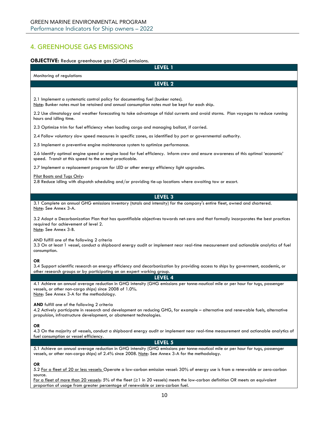# <span id="page-9-0"></span>4. GREENHOUSE GAS EMISSIONS

## **OBJECTIVE:** Reduce greenhouse gas (GHG) emissions.

| $\overline{a}$ . The secret greenhouse gas (OTIO) emissions.<br><b>LEVEL 1</b>                                                                                                                                                                        |
|-------------------------------------------------------------------------------------------------------------------------------------------------------------------------------------------------------------------------------------------------------|
| Monitoring of regulations                                                                                                                                                                                                                             |
| LEVEL 2                                                                                                                                                                                                                                               |
|                                                                                                                                                                                                                                                       |
| 2.1 Implement a systematic control policy for documenting fuel (bunker notes).<br>Note: Bunker notes must be retained and annual consumption notes must be kept for each ship.                                                                        |
| 2.2 Use climatology and weather forecasting to take advantage of tidal currents and avoid storms. Plan voyages to reduce running<br>hours and idling time.                                                                                            |
| 2.3 Optimize trim for fuel efficiency when loading cargo and managing ballast, if carried.                                                                                                                                                            |
| 2.4 Follow voluntary slow speed measures in specific zones, as identified by port or governmental authority.                                                                                                                                          |
| 2.5 Implement a preventive engine maintenance system to optimize performance.                                                                                                                                                                         |
| 2.6 Identify optimal engine speed or engine load for fuel efficiency. Inform crew and ensure awareness of this optimal 'economic'<br>speed. Transit at this speed to the extent practicable.                                                          |
| 2.7 Implement a replacement program for LED or other energy efficiency light upgrades.                                                                                                                                                                |
| Pilot Boats and Tugs Only:                                                                                                                                                                                                                            |
| 2.8 Reduce idling with dispatch scheduling and/or providing tie-up locations where awaiting tow or escort.                                                                                                                                            |
| LEVEL 3                                                                                                                                                                                                                                               |
| 3.1 Complete an annual GHG emissions inventory (totals and intensity) for the company's entire fleet, owned and chartered.                                                                                                                            |
| Note: See Annex 3-A.                                                                                                                                                                                                                                  |
| 3.2 Adopt a Decarbonization Plan that has quantifiable objectives towards net-zero and that formally incorporates the best practices<br>required for achievement of level 2.<br>Note: See Annex 3-B.                                                  |
| AND fulfill one of the following 2 criteria<br>3.3 On at least 1 vessel, conduct a shipboard energy audit or implement near real-time measurement and actionable analytics of fuel<br>consumption.                                                    |
| <b>OR</b>                                                                                                                                                                                                                                             |
| 3.4 Support scientific research on energy efficiency and decarbonization by providing access to ships by government, academic, or<br>other research groups or by participating on an expert working group.                                            |
| LEVEL 4                                                                                                                                                                                                                                               |
| 4.1 Achieve an annual average reduction in GHG intensity (GHG emissions per tonne-nautical mile or per hour for tugs, passenger<br>vessels, or other non-cargo ships) since 2008 of 1.0%.<br>Note: See Annex 3-A for the methodology.                 |
| AND fulfill one of the following 2 criteria<br>4.2 Actively participate in research and development on reducing GHG, for example – alternative and renewable fuels, alternative<br>propulsion, infrastructure development, or abatement technologies. |
| OR<br>4.3 On the majority of vessels, conduct a shipboard energy audit or implement near real-time measurement and actionable analytics of<br>fuel consumption or vessel efficiency.<br>LEVEL 5                                                       |
| 5.1 Achieve an annual average reduction in GHG intensity (GHG emissions per tonne-nautical mile or per hour for tugs, passenger                                                                                                                       |
| vessels, or other non-cargo ships) of 2.4% since 2008. Note: See Annex 3-A for the methodology.                                                                                                                                                       |
| <b>OR</b>                                                                                                                                                                                                                                             |
| 5.2 For a fleet of 20 or less vessels: Operate a low-carbon emission vessel: 30% of energy use is from a renewable or zero-carbon                                                                                                                     |
| source.<br>For a fleet of more than 20 vessels: 5% of the fleet ( $\geq 1$ in 20 vessels) meets the low-carbon definition OR meets an equivalent<br>proportion of usage from greater percentage of renewable or zero-carbon fuel.                     |
|                                                                                                                                                                                                                                                       |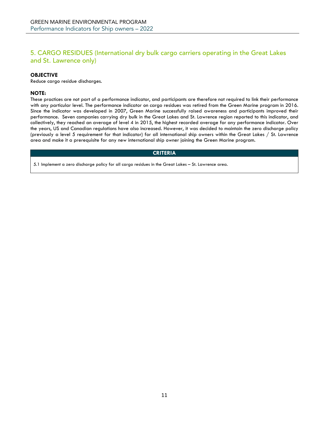# <span id="page-10-0"></span>5. CARGO RESIDUES (International dry bulk cargo carriers operating in the Great Lakes and St. Lawrence only)

## **OBJECTIVE**

Reduce cargo residue discharges.

## **NOTE:**

These practices are not part of a performance indicator, and participants are therefore not required to link their performance with any particular level. The performance indicator on cargo residues was retired from the Green Marine program in 2016. Since the indicator was developed in 2007, Green Marine successfully raised awareness and participants improved their performance. Seven companies carrying dry bulk in the Great Lakes and St. Lawrence region reported to this indicator, and collectively, they reached an average of level 4 in 2015, the highest recorded average for any performance indicator. Over the years, US and Canadian regulations have also increased. However, it was decided to maintain the zero discharge policy (previously a level 5 requirement for that indicator) for all international ship owners within the Great Lakes / St. Lawrence area and make it a prerequisite for any new international ship owner joining the Green Marine program.

## **CRITERIA**

5.1 Implement a zero discharge policy for all cargo residues in the Great Lakes – St. Lawrence area.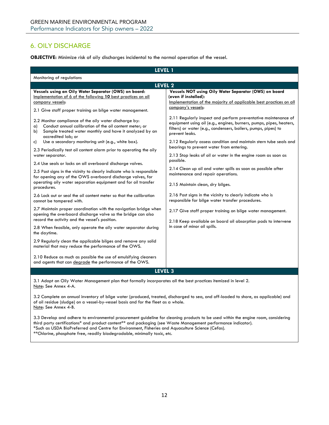# <span id="page-11-0"></span>6. OILY DISCHARGE

**OBJECTIVE:** Minimize risk of oily discharges incidental to the normal operation of the vessel.

| LEVEL 1                                                                                                                                                                                                                                                                                                                                                                                                                                                                                                                                                                                                                                                                                                                                                                                                                                                                                                                                                                                                                                                                                                                                                                                                                                                                                                                                                                    |                                                                                                                                                                                                                                                                                                                                                                                                                                                                                                                                                                                                                                                                                                                                                                                                                                                                                                                                                                                                                                  |
|----------------------------------------------------------------------------------------------------------------------------------------------------------------------------------------------------------------------------------------------------------------------------------------------------------------------------------------------------------------------------------------------------------------------------------------------------------------------------------------------------------------------------------------------------------------------------------------------------------------------------------------------------------------------------------------------------------------------------------------------------------------------------------------------------------------------------------------------------------------------------------------------------------------------------------------------------------------------------------------------------------------------------------------------------------------------------------------------------------------------------------------------------------------------------------------------------------------------------------------------------------------------------------------------------------------------------------------------------------------------------|----------------------------------------------------------------------------------------------------------------------------------------------------------------------------------------------------------------------------------------------------------------------------------------------------------------------------------------------------------------------------------------------------------------------------------------------------------------------------------------------------------------------------------------------------------------------------------------------------------------------------------------------------------------------------------------------------------------------------------------------------------------------------------------------------------------------------------------------------------------------------------------------------------------------------------------------------------------------------------------------------------------------------------|
| Monitoring of regulations                                                                                                                                                                                                                                                                                                                                                                                                                                                                                                                                                                                                                                                                                                                                                                                                                                                                                                                                                                                                                                                                                                                                                                                                                                                                                                                                                  |                                                                                                                                                                                                                                                                                                                                                                                                                                                                                                                                                                                                                                                                                                                                                                                                                                                                                                                                                                                                                                  |
| LEVEL <sub>2</sub>                                                                                                                                                                                                                                                                                                                                                                                                                                                                                                                                                                                                                                                                                                                                                                                                                                                                                                                                                                                                                                                                                                                                                                                                                                                                                                                                                         |                                                                                                                                                                                                                                                                                                                                                                                                                                                                                                                                                                                                                                                                                                                                                                                                                                                                                                                                                                                                                                  |
| Vessels using an Oily Water Separator (OWS) on board:<br>Implementation of 6 of the following 10 best practices on all<br>company vessels:<br>2.1 Give staff proper training on bilge water management.<br>2.2 Monitor compliance of the oily water discharge by:<br>Conduct annual calibration of the oil content meter; or<br>a)<br>Sample treated water monthly and have it analyzed by an<br>b)<br>accredited lab; or<br>Use a secondary monitoring unit (e.g., white box).<br>C)<br>2.3 Periodically test oil content alarm prior to operating the oily<br>water separator.<br>2.4 Use seals or locks on all overboard discharge valves.<br>2.5 Post signs in the vicinity to clearly indicate who is responsible<br>for opening any of the OWS overboard discharge valves, for<br>operating oily water separation equipment and for oil transfer<br>procedures.<br>2.6 Lock out or seal the oil content meter so that the calibration<br>cannot be tampered with.<br>2.7 Maintain proper coordination with the navigation bridge when<br>opening the overboard discharge valve so the bridge can also<br>record the activity and the vessel's position.<br>2.8 When feasible, only operate the oily water separator during<br>the daytime.<br>2.9 Regularly clean the applicable bilges and remove any solid<br>material that may reduce the performance of the OWS. | Vessels NOT using Oily Water Separator (OWS) on board<br>(even if installed):<br>Implementation of the majority of applicable best practices on all<br>company's vessels:<br>2.11 Regularly inspect and perform preventative maintenance of<br>equipment using oil (e.g., engines, burners, pumps, pipes, heaters,<br>filters) or water (e.g., condensers, boilers, pumps, pipes) to<br>prevent leaks.<br>2.12 Regularly assess condition and maintain stern tube seals and<br>bearings to prevent water from entering.<br>2.13 Stop leaks of oil or water in the engine room as soon as<br>possible.<br>2.14 Clean up oil and water spills as soon as possible after<br>maintenance and repair operations.<br>2.15 Maintain clean, dry bilges.<br>2.16 Post signs in the vicinity to clearly indicate who is<br>responsible for bilge water transfer procedures.<br>2.17 Give staff proper training on bilge water management.<br>2.18 Keep available on board oil absorption pads to intervene<br>in case of minor oil spills. |
| 2.10 Reduce as much as possible the use of emulsifying cleaners<br>and agents that can degrade the performance of the OWS.                                                                                                                                                                                                                                                                                                                                                                                                                                                                                                                                                                                                                                                                                                                                                                                                                                                                                                                                                                                                                                                                                                                                                                                                                                                 |                                                                                                                                                                                                                                                                                                                                                                                                                                                                                                                                                                                                                                                                                                                                                                                                                                                                                                                                                                                                                                  |
| LEVEL <sub>3</sub>                                                                                                                                                                                                                                                                                                                                                                                                                                                                                                                                                                                                                                                                                                                                                                                                                                                                                                                                                                                                                                                                                                                                                                                                                                                                                                                                                         |                                                                                                                                                                                                                                                                                                                                                                                                                                                                                                                                                                                                                                                                                                                                                                                                                                                                                                                                                                                                                                  |

3.1 Adopt an Oily Water Management plan that formally incorporates all the best practices itemized in level 2. Note: See Annex 4-A.

3.2 Complete an annual inventory of bilge water (produced, treated, discharged to sea, and off-loaded to shore, as applicable) and of oil residue (sludge) on a vessel-by-vessel basis and for the fleet as a whole. Note: See Annex 4-B.

3.3 Develop and adhere to environmental procurement guideline for cleaning products to be used within the engine room, considering third party certifications\* and product content\*\* and packaging (see Waste Management performance indicator). \*Such as USDA BioPreferred and Centre for Environment, Fisheries and Aquaculture Science (Cefas). \*\*Chlorine, phosphate free, readily biodegradable, minimally toxic, etc.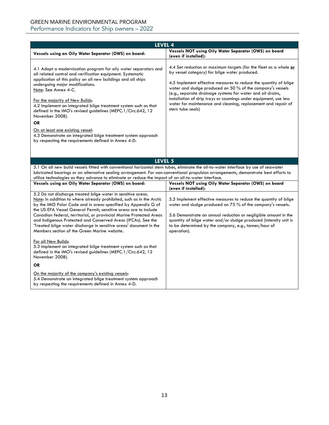## GREEN MARINE ENVIRONMENTAL PROGRAM Performance Indicators for Ship owners – 2022

| LEVEL 4                                                                                                                                                                                                                                                                                                                                                                                                                                                                                                                                                                                                                      |                                                                                                                                                                                                                                                                                                                                                                                                                                                                              |
|------------------------------------------------------------------------------------------------------------------------------------------------------------------------------------------------------------------------------------------------------------------------------------------------------------------------------------------------------------------------------------------------------------------------------------------------------------------------------------------------------------------------------------------------------------------------------------------------------------------------------|------------------------------------------------------------------------------------------------------------------------------------------------------------------------------------------------------------------------------------------------------------------------------------------------------------------------------------------------------------------------------------------------------------------------------------------------------------------------------|
| Vessels using an Oily Water Separator (OWS) on board:                                                                                                                                                                                                                                                                                                                                                                                                                                                                                                                                                                        | Vessels NOT using Oily Water Separator (OWS) on board<br>(even if installed):                                                                                                                                                                                                                                                                                                                                                                                                |
| 4.1 Adopt a modernization program for oily water separators and<br>all related control and verification equipment. Systematic<br>application of this policy on all new buildings and all ships<br>undergoing major modifications.<br>Note: See Annex 4-C.<br>For the majority of New Builds:<br>4.2 Implement an integrated bilge treatment system such as that<br>defined in the IMO's revised guidelines (MEPC.1/Circ.642, 12<br>November 2008).<br><b>OR</b><br>On at least one existing vessel:<br>4.3 Demonstrate an integrated bilge treatment system approach<br>by respecting the requirements defined in Annex 4-D. | 4.4 Set reduction or maximum targets (for the fleet as a whole or<br>by vessel category) for bilge water produced.<br>4.5 Implement effective measures to reduce the quantity of bilge<br>water and sludge produced on 50 % of the company's vessels<br>(e.g., separate drainage systems for water and oil drains,<br>installation of drip trays or coamings under equipment, use less<br>water for maintenance and cleaning, replacement and repair of<br>stern tube seals) |
| LEVEL 5                                                                                                                                                                                                                                                                                                                                                                                                                                                                                                                                                                                                                      |                                                                                                                                                                                                                                                                                                                                                                                                                                                                              |
| 5.1 On all new build vessels fitted with conventional horizontal stern tubes, eliminate the oil-to-water interface by use of seawater<br>lubricated bearings or an alternative sealing arrangement. For non-conventional propulsion arrangements, demonstrate best efforts to<br>utilize technologies as they advance to eliminate or reduce the impact of an oil-to-water interface.<br>Vessels using an Oily Water Separator (OWS) on board:                                                                                                                                                                               | Vessels NOT using Oily Water Separator (OWS) on board                                                                                                                                                                                                                                                                                                                                                                                                                        |
|                                                                                                                                                                                                                                                                                                                                                                                                                                                                                                                                                                                                                              | (even if installed):                                                                                                                                                                                                                                                                                                                                                                                                                                                         |
| 5.2 Do not discharge treated bilge water in sensitive areas.<br>Note: In addition to where already prohibited, such as in the Arctic<br>by the IMO Polar Code and in areas specified by Appendix G of<br>the US EPA Vessel General Permit; sensitive areas are to include<br>Canadian federal, territorial, or provincial Marine Protected Areas<br>and Indigenous Protected and Conserved Areas (IPCAs). See the<br>'Treated bilge water discharge in sensitive areas' document in the<br>Members section of the Green Marine website.                                                                                      | 5.5 Implement effective measures to reduce the quantity of bilge<br>water and sludge produced on 75 % of the company's vessels.<br>5.6 Demonstrate an annual reduction or negligible amount in the<br>quantity of bilge water and/or sludge produced (intensity unit is<br>to be determined by the company, e.g., tonnes/hour of<br>operation).                                                                                                                              |
| For all New Builds:<br>5.3 Implement an integrated bilge treatment system such as that<br>defined in the IMO's revised guidelines (MEPC.1/Circ.642, 12<br>November 2008).                                                                                                                                                                                                                                                                                                                                                                                                                                                    |                                                                                                                                                                                                                                                                                                                                                                                                                                                                              |
| <b>OR</b><br>On the majority of the company's existing vessels:<br>5.4 Demonstrate an integrated bilge treatment system approach<br>by respecting the requirements defined in Annex 4-D.                                                                                                                                                                                                                                                                                                                                                                                                                                     |                                                                                                                                                                                                                                                                                                                                                                                                                                                                              |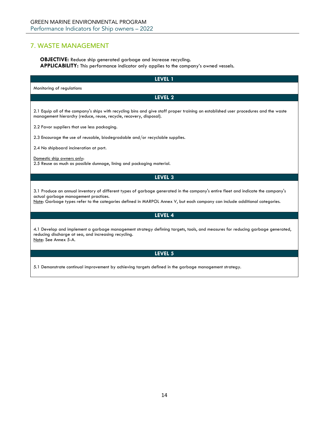# <span id="page-13-0"></span>7. WASTE MANAGEMENT

**OBJECTIVE:** Reduce ship generated garbage and increase recycling. **APPLICABILITY:** This performance indicator only applies to the company's owned vessels.

| LEVEL 1                                                                                                                                                                                                                                                                                                |
|--------------------------------------------------------------------------------------------------------------------------------------------------------------------------------------------------------------------------------------------------------------------------------------------------------|
| Monitoring of regulations                                                                                                                                                                                                                                                                              |
| LEVEL <sub>2</sub>                                                                                                                                                                                                                                                                                     |
|                                                                                                                                                                                                                                                                                                        |
| 2.1 Equip all of the company's ships with recycling bins and give staff proper training on established user procedures and the waste<br>management hierarchy (reduce, reuse, recycle, recovery, disposal).                                                                                             |
| 2.2 Favor suppliers that use less packaging.                                                                                                                                                                                                                                                           |
| 2.3 Encourage the use of reusable, biodegradable and/or recyclable supplies.                                                                                                                                                                                                                           |
| 2.4 No shipboard incineration at port.                                                                                                                                                                                                                                                                 |
| Domestic ship owners only:<br>2.5 Reuse as much as possible dunnage, lining and packaging material.                                                                                                                                                                                                    |
| LEVEL 3                                                                                                                                                                                                                                                                                                |
| 3.1 Produce an annual inventory of different types of garbage generated in the company's entire fleet and indicate the company's<br>actual garbage management practices.<br>Note: Garbage types refer to the categories defined in MARPOL Annex V, but each company can include additional categories. |
| LEVEL 4                                                                                                                                                                                                                                                                                                |
| 4.1 Develop and implement a garbage management strategy defining targets, tools, and measures for reducing garbage generated,<br>reducing discharge at sea, and increasing recycling.<br>Note: See Annex 5-A.                                                                                          |
| LEVEL 5                                                                                                                                                                                                                                                                                                |
| 5.1 Demonstrate continual improvement by achieving targets defined in the garbage management strategy.                                                                                                                                                                                                 |
|                                                                                                                                                                                                                                                                                                        |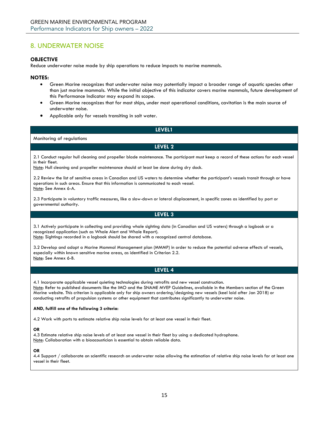## <span id="page-14-0"></span>8. UNDERWATER NOISE

## **OBJECTIVE**

Reduce underwater noise made by ship operations to reduce impacts to marine mammals.

## **NOTES:**

- Green Marine recognizes that underwater noise may potentially impact a broader range of aquatic species other than just marine mammals. While the initial objective of this indicator covers marine mammals, future development of this Performance Indicator may expand its scope.
- Green Marine recognizes that for most ships, under most operational conditions, cavitation is the main source of underwater noise.
- Applicable only for vessels transiting in salt water.

## **LEVEL1**

## Monitoring of regulations

**LEVEL 2**

2.1 Conduct regular hull cleaning and propeller blade maintenance. The participant must keep a record of these actions for each vessel in their fleet.

Note: Hull cleaning and propeller maintenance should at least be done during dry dock.

2.2 Review the list of sensitive areas in Canadian and US waters to determine whether the participant's vessels transit through or have operations in such areas. Ensure that this information is communicated to each vessel. Note: See Annex 6-A.

2.3 Participate in voluntary traffic measures, like a slow-down or lateral displacement, in specific zones as identified by port or governmental authority.

## **LEVEL 3**

3.1 Actively participate in collecting and providing whale sighting data (in Canadian and US waters) through a logbook or a recognized application (such as Whale Alert and Whale Report).

Note: Sightings recorded in a logbook should be shared with a recognized central database.

3.2 Develop and adopt a Marine Mammal Management plan (MMMP) in order to reduce the potential adverse effects of vessels, especially within known sensitive marine areas, as identified in Criterion 2.2. Note: See Annex 6-B.

## **LEVEL 4**

4.1 Incorporate applicable vessel quieting technologies during retrofits and new vessel construction. Note: Refer to published documents like the IMO and the SNAME MVEP Guidelines, available in the Members section of the Green Marine website. This criterion is applicable only for ship owners ordering/designing new vessels (keel laid after Jan 2018) or conducting retrofits of propulsion systems or other equipment that contributes significantly to underwater noise.

#### **AND, fulfill one of the following 3 criteria:**

4.2 Work with ports to estimate relative ship noise levels for at least one vessel in their fleet.

## **OR**

4.3 Estimate relative ship noise levels of at least one vessel in their fleet by using a dedicated hydrophone. Note: Collaboration with a bioacoustician is essential to obtain reliable data.

## **OR**

4.4 Support / collaborate on scientific research on underwater noise allowing the estimation of relative ship noise levels for at least one vessel in their fleet.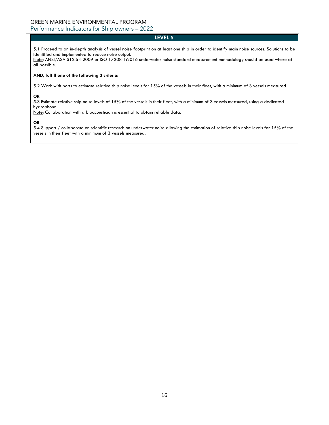## GREEN MARINE ENVIRONMENTAL PROGRAM

Performance Indicators for Ship owners – 2022

## **LEVEL 5**

5.1 Proceed to an in-depth analysis of vessel noise footprint on at least one ship in order to identify main noise sources. Solutions to be identified and implemented to reduce noise output.

Note: ANSI/ASA S12.64-2009 or ISO 17208-1:2016 underwater noise standard measurement methodology should be used where at all possible.

#### **AND, fulfill one of the following 3 criteria:**

5.2 Work with ports to estimate relative ship noise levels for 15% of the vessels in their fleet, with a minimum of 3 vessels measured.

## **OR**

5.3 Estimate relative ship noise levels of 15% of the vessels in their fleet, with a minimum of 3 vessels measured, using a dedicated hydrophone.

Note: Collaboration with a bioacoustician is essential to obtain reliable data.

#### **OR**

5.4 Support / collaborate on scientific research on underwater noise allowing the estimation of relative ship noise levels for 15% of the vessels in their fleet with a minimum of 3 vessels measured.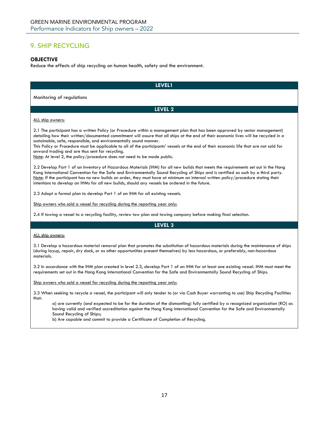# <span id="page-16-0"></span>9. SHIP RECYCLING

## **OBJECTIVE**

Reduce the effects of ship recycling on human health, safety and the environment.

| <b>LEVEL1</b>                                                                                                                                                                                                                                                                                                                                                                                                                                                                                                                                                                                                       |
|---------------------------------------------------------------------------------------------------------------------------------------------------------------------------------------------------------------------------------------------------------------------------------------------------------------------------------------------------------------------------------------------------------------------------------------------------------------------------------------------------------------------------------------------------------------------------------------------------------------------|
| Monitoring of regulations                                                                                                                                                                                                                                                                                                                                                                                                                                                                                                                                                                                           |
| LEVEL 2                                                                                                                                                                                                                                                                                                                                                                                                                                                                                                                                                                                                             |
|                                                                                                                                                                                                                                                                                                                                                                                                                                                                                                                                                                                                                     |
| ALL ship owners:                                                                                                                                                                                                                                                                                                                                                                                                                                                                                                                                                                                                    |
| 2.1 The participant has a written Policy (or Procedure within a management plan that has been approved by senior management)<br>detailing how their written/documented commitment will assure that all ships at the end of their economic lives will be recycled in a<br>sustainable, safe, responsible, and environmentally sound manner.<br>This Policy or Procedure must be applicable to all of the participants' vessels at the end of their economic life that are not sold for<br>onward trading and are thus sent for recycling.<br>Note: At level 2, the policy/procedure does not need to be made public. |
| 2.2 Develop Part 1 of an Inventory of Hazardous Materials (IHM) for all new builds that meets the requirements set out in the Hong<br>Kong International Convention for the Safe and Environmentally Sound Recycling of Ships and is certified as such by a third party.<br>Note: If the participant has no new builds on order, they must have at minimum an internal written policy/procedure stating their<br>intentions to develop an IHMs for all new builds, should any vessels be ordered in the future.                                                                                                     |
| 2.3 Adopt a formal plan to develop Part 1 of an IHM for all existing vessels.                                                                                                                                                                                                                                                                                                                                                                                                                                                                                                                                       |
| Ship owners who sold a vessel for recycling during the reporting year only:                                                                                                                                                                                                                                                                                                                                                                                                                                                                                                                                         |
| 2.4 If towing a vessel to a recycling facility, review tow plan and towing company before making final selection.                                                                                                                                                                                                                                                                                                                                                                                                                                                                                                   |
| LEVEL <sub>3</sub>                                                                                                                                                                                                                                                                                                                                                                                                                                                                                                                                                                                                  |
| ALL ship owners:                                                                                                                                                                                                                                                                                                                                                                                                                                                                                                                                                                                                    |
| 3.1 Develop a hazardous material removal plan that promotes the substitution of hazardous materials during the maintenance of ships<br>(during layup, repair, dry dock, or as other opportunities present themselves) by less hazardous, or preferably, non-hazardous<br>materials.                                                                                                                                                                                                                                                                                                                                 |
| 3.2 In accordance with the IHM plan created in level 2.3, develop Part 1 of an IHM for at least one existing vessel. IHM must meet the<br>requirements set out in the Hong Kong International Convention for the Safe and Environmentally Sound Recycling of Ships.                                                                                                                                                                                                                                                                                                                                                 |
| Ship owners who sold a vessel for recycling during the reporting year only:                                                                                                                                                                                                                                                                                                                                                                                                                                                                                                                                         |
| 3.3 When seeking to recycle a vessel, the participant will only tender to (or via Cash Buyer warranting to use) Ship Recycling Facilities<br>that:                                                                                                                                                                                                                                                                                                                                                                                                                                                                  |
| a) are currently (and expected to be for the duration of the dismantling) fully certified by a recognized organization (RO) as<br>having valid and verified accreditation against the Hong Kong International Convention for the Safe and Environmentally<br>Sound Recycling of Ships;                                                                                                                                                                                                                                                                                                                              |
| b) Are capable and commit to provide a Certificate of Completion of Recycling.                                                                                                                                                                                                                                                                                                                                                                                                                                                                                                                                      |